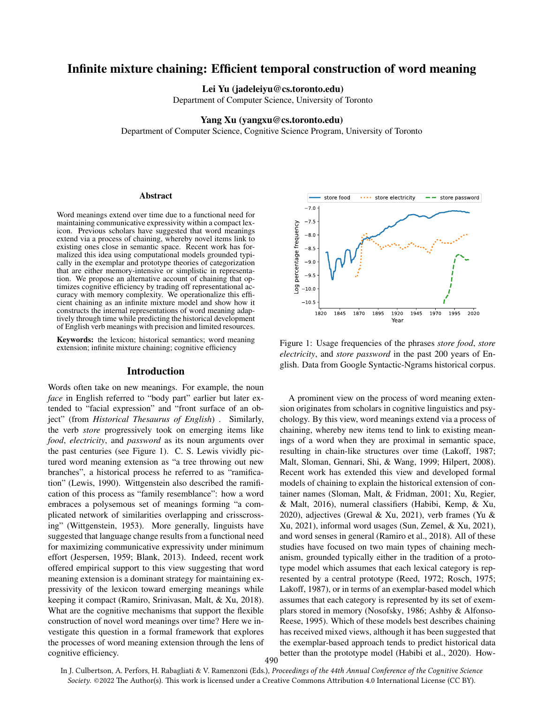# Infinite mixture chaining: Efficient temporal construction of word meaning

Lei Yu (jadeleiyu@cs.toronto.edu)

Department of Computer Science, University of Toronto

#### Yang Xu (yangxu@cs.toronto.edu)

Department of Computer Science, Cognitive Science Program, University of Toronto

#### Abstract

Word meanings extend over time due to a functional need for maintaining communicative expressivity within a compact lexicon. Previous scholars have suggested that word meanings extend via a process of chaining, whereby novel items link to existing ones close in semantic space. Recent work has formalized this idea using computational models grounded typically in the exemplar and prototype theories of categorization that are either memory-intensive or simplistic in representation. We propose an alternative account of chaining that optimizes cognitive efficiency by trading off representational accuracy with memory complexity. We operationalize this efficient chaining as an infinite mixture model and show how it constructs the internal representations of word meaning adaptively through time while predicting the historical development of English verb meanings with precision and limited resources.

Keywords: the lexicon; historical semantics; word meaning extension; infinite mixture chaining; cognitive efficiency

### Introduction

Words often take on new meanings. For example, the noun *face* in English referred to "body part" earlier but later extended to "facial expression" and "front surface of an object" (from *Historical Thesaurus of English*) . Similarly, the verb *store* progressively took on emerging items like *food*, *electricity*, and *password* as its noun arguments over the past centuries (see Figure 1). C. S. Lewis vividly pictured word meaning extension as "a tree throwing out new branches", a historical process he referred to as "ramification" (Lewis, 1990). Wittgenstein also described the ramification of this process as "family resemblance": how a word embraces a polysemous set of meanings forming "a complicated network of similarities overlapping and crisscrossing" (Wittgenstein, 1953). More generally, linguists have suggested that language change results from a functional need for maximizing communicative expressivity under minimum effort (Jespersen, 1959; Blank, 2013). Indeed, recent work offered empirical support to this view suggesting that word meaning extension is a dominant strategy for maintaining expressivity of the lexicon toward emerging meanings while keeping it compact (Ramiro, Srinivasan, Malt, & Xu, 2018). What are the cognitive mechanisms that support the flexible construction of novel word meanings over time? Here we investigate this question in a formal framework that explores the processes of word meaning extension through the lens of cognitive efficiency.



Figure 1: Usage frequencies of the phrases *store food*, *store electricity*, and *store password* in the past 200 years of English. Data from Google Syntactic-Ngrams historical corpus.

A prominent view on the process of word meaning extension originates from scholars in cognitive linguistics and psychology. By this view, word meanings extend via a process of chaining, whereby new items tend to link to existing meanings of a word when they are proximal in semantic space, resulting in chain-like structures over time (Lakoff, 1987; Malt, Sloman, Gennari, Shi, & Wang, 1999; Hilpert, 2008). Recent work has extended this view and developed formal models of chaining to explain the historical extension of container names (Sloman, Malt, & Fridman, 2001; Xu, Regier, & Malt, 2016), numeral classifiers (Habibi, Kemp, & Xu, 2020), adjectives (Grewal & Xu, 2021), verb frames (Yu & Xu, 2021), informal word usages (Sun, Zemel, & Xu, 2021), and word senses in general (Ramiro et al., 2018). All of these studies have focused on two main types of chaining mechanism, grounded typically either in the tradition of a prototype model which assumes that each lexical category is represented by a central prototype (Reed, 1972; Rosch, 1975; Lakoff, 1987), or in terms of an exemplar-based model which assumes that each category is represented by its set of exemplars stored in memory (Nosofsky, 1986; Ashby & Alfonso-Reese, 1995). Which of these models best describes chaining has received mixed views, although it has been suggested that the exemplar-based approach tends to predict historical data better than the prototype model (Habibi et al., 2020). How-

In J. Culbertson, A. Perfors, H. Rabagliati & V. Ramenzoni (Eds.), *Proceedings of the 44th Annual Conference of the Cognitive Science* Society. @2022 The Author(s). This work is licensed under a Creative Commons Attribution 4.0 International License (CC BY).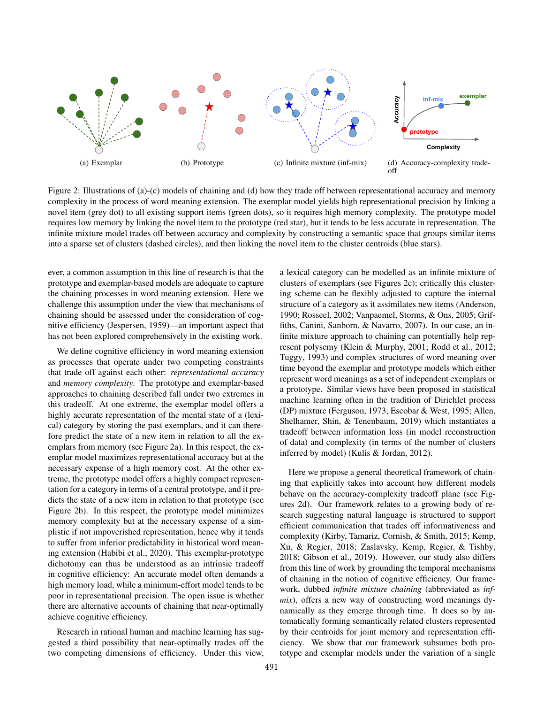

Figure 2: Illustrations of (a)-(c) models of chaining and (d) how they trade off between representational accuracy and memory complexity in the process of word meaning extension. The exemplar model yields high representational precision by linking a novel item (grey dot) to all existing support items (green dots), so it requires high memory complexity. The prototype model requires low memory by linking the novel item to the prototype (red star), but it tends to be less accurate in representation. The infinite mixture model trades off between accuracy and complexity by constructing a semantic space that groups similar items into a sparse set of clusters (dashed circles), and then linking the novel item to the cluster centroids (blue stars).

ever, a common assumption in this line of research is that the prototype and exemplar-based models are adequate to capture the chaining processes in word meaning extension. Here we challenge this assumption under the view that mechanisms of chaining should be assessed under the consideration of cognitive efficiency (Jespersen, 1959)—an important aspect that has not been explored comprehensively in the existing work.

We define cognitive efficiency in word meaning extension as processes that operate under two competing constraints that trade off against each other: *representational accuracy* and *memory complexity*. The prototype and exemplar-based approaches to chaining described fall under two extremes in this tradeoff. At one extreme, the exemplar model offers a highly accurate representation of the mental state of a (lexical) category by storing the past exemplars, and it can therefore predict the state of a new item in relation to all the exemplars from memory (see Figure 2a). In this respect, the exemplar model maximizes representational accuracy but at the necessary expense of a high memory cost. At the other extreme, the prototype model offers a highly compact representation for a category in terms of a central prototype, and it predicts the state of a new item in relation to that prototype (see Figure 2b). In this respect, the prototype model minimizes memory complexity but at the necessary expense of a simplistic if not impoverished representation, hence why it tends to suffer from inferior predictability in historical word meaning extension (Habibi et al., 2020). This exemplar-prototype dichotomy can thus be understood as an intrinsic tradeoff in cognitive efficiency: An accurate model often demands a high memory load, while a minimum-effort model tends to be poor in representational precision. The open issue is whether there are alternative accounts of chaining that near-optimally achieve cognitive efficiency.

Research in rational human and machine learning has suggested a third possibility that near-optimally trades off the two competing dimensions of efficiency. Under this view, a lexical category can be modelled as an infinite mixture of clusters of exemplars (see Figures 2c); critically this clustering scheme can be flexibly adjusted to capture the internal structure of a category as it assimilates new items (Anderson, 1990; Rosseel, 2002; Vanpaemel, Storms, & Ons, 2005; Griffiths, Canini, Sanborn, & Navarro, 2007). In our case, an infinite mixture approach to chaining can potentially help represent polysemy (Klein & Murphy, 2001; Rodd et al., 2012; Tuggy, 1993) and complex structures of word meaning over time beyond the exemplar and prototype models which either represent word meanings as a set of independent exemplars or a prototype. Similar views have been proposed in statistical machine learning often in the tradition of Dirichlet process (DP) mixture (Ferguson, 1973; Escobar & West, 1995; Allen, Shelhamer, Shin, & Tenenbaum, 2019) which instantiates a tradeoff between information loss (in model reconstruction of data) and complexity (in terms of the number of clusters inferred by model) (Kulis & Jordan, 2012).

Here we propose a general theoretical framework of chaining that explicitly takes into account how different models behave on the accuracy-complexity tradeoff plane (see Figures 2d). Our framework relates to a growing body of research suggesting natural language is structured to support efficient communication that trades off informativeness and complexity (Kirby, Tamariz, Cornish, & Smith, 2015; Kemp, Xu, & Regier, 2018; Zaslavsky, Kemp, Regier, & Tishby, 2018; Gibson et al., 2019). However, our study also differs from this line of work by grounding the temporal mechanisms of chaining in the notion of cognitive efficiency. Our framework, dubbed *infinite mixture chaining* (abbreviated as *infmix*), offers a new way of constructing word meanings dynamically as they emerge through time. It does so by automatically forming semantically related clusters represented by their centroids for joint memory and representation efficiency. We show that our framework subsumes both prototype and exemplar models under the variation of a single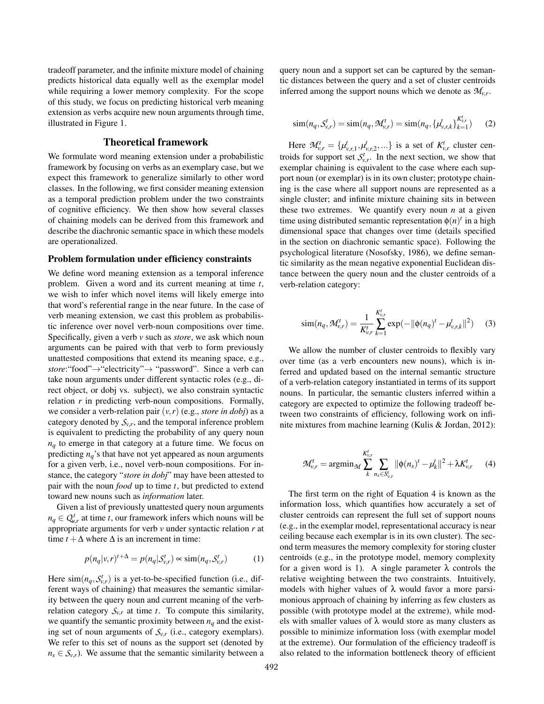tradeoff parameter, and the infinite mixture model of chaining predicts historical data equally well as the exemplar model while requiring a lower memory complexity. For the scope of this study, we focus on predicting historical verb meaning extension as verbs acquire new noun arguments through time, illustrated in Figure 1.

# Theoretical framework

We formulate word meaning extension under a probabilistic framework by focusing on verbs as an exemplary case, but we expect this framework to generalize similarly to other word classes. In the following, we first consider meaning extension as a temporal prediction problem under the two constraints of cognitive efficiency. We then show how several classes of chaining models can be derived from this framework and describe the diachronic semantic space in which these models are operationalized.

### Problem formulation under efficiency constraints

We define word meaning extension as a temporal inference problem. Given a word and its current meaning at time *t*, we wish to infer which novel items will likely emerge into that word's referential range in the near future. In the case of verb meaning extension, we cast this problem as probabilistic inference over novel verb-noun compositions over time. Specifically, given a verb *v* such as *store*, we ask which noun arguments can be paired with that verb to form previously unattested compositions that extend its meaning space, e.g., *store*:"food" $\rightarrow$ "electricity" $\rightarrow$  "password". Since a verb can take noun arguments under different syntactic roles (e.g., direct object, or dobj vs. subject), we also constrain syntactic relation *r* in predicting verb-noun compositions. Formally, we consider a verb-relation pair  $(v, r)$  (e.g., *store in dobj*) as a category denoted by  $S_{v,r}$ , and the temporal inference problem is equivalent to predicting the probability of any query noun *nq* to emerge in that category at a future time. We focus on predicting  $n_q$ 's that have not yet appeared as noun arguments for a given verb, i.e., novel verb-noun compositions. For instance, the category "*store in dobj*" may have been attested to pair with the noun *food* up to time *t*, but predicted to extend toward new nouns such as *information* later.

Given a list of previously unattested query noun arguments  $n_q \in Q_{\nu,r}^t$  at time *t*, our framework infers which nouns will be appropriate arguments for verb *v* under syntactic relation *r* at time  $t + \Delta$  where  $\Delta$  is an increment in time:

$$
p(n_q|\nu, r)^{t+\Delta} = p(n_q|\mathcal{S}_{\nu,r}^t) \approx \text{sim}(n_q, \mathcal{S}_{\nu,r}^t)
$$
 (1)

Here  $\text{sim}(n_q, S^t_{v,r})$  is a yet-to-be-specified function (i.e., different ways of chaining) that measures the semantic similarity between the query noun and current meaning of the verbrelation category  $S_{v,r}$  at time *t*. To compute this similarity, we quantify the semantic proximity between  $n_q$  and the existing set of noun arguments of  $S_{v,r}$  (i.e., category exemplars). We refer to this set of nouns as the support set (denoted by  $n_s \in S_{v,r}$ ). We assume that the semantic similarity between a query noun and a support set can be captured by the semantic distances between the query and a set of cluster centroids inferred among the support nouns which we denote as  $\mathcal{M}_{v,r}$ .

$$
\text{sim}(n_q, S_{v,r}^t) = \text{sim}(n_q, \mathcal{M}_{v,r}^t) = \text{sim}(n_q, {\{\mu_{v,r,k}^t\}}_{k=1}^{K_{v,r}^t})
$$
 (2)

Here  $\mathcal{M}_{v,r}^t = {\mu_{v,r,1}^t, \mu_{v,r,2}^t, \dots}$  is a set of  $K_{v,r}^t$  cluster centroids for support set  $S_{v,r}^t$ . In the next section, we show that exemplar chaining is equivalent to the case where each support noun (or exemplar) is in its own cluster; prototype chaining is the case where all support nouns are represented as a single cluster; and infinite mixture chaining sits in between these two extremes. We quantify every noun *n* at a given time using distributed semantic representation  $\phi(n)^t$  in a high dimensional space that changes over time (details specified in the section on diachronic semantic space). Following the psychological literature (Nosofsky, 1986), we define semantic similarity as the mean negative exponential Euclidean distance between the query noun and the cluster centroids of a verb-relation category:

$$
\text{sim}(n_q, \mathcal{M}_{v,r}^t) = \frac{1}{K_{v,r}^t} \sum_{k=1}^{K_{v,r}^t} \text{exp}(-||\phi(n_q)^t - \mu_{v,r,k}^t||^2) \tag{3}
$$

We allow the number of cluster centroids to flexibly vary over time (as a verb encounters new nouns), which is inferred and updated based on the internal semantic structure of a verb-relation category instantiated in terms of its support nouns. In particular, the semantic clusters inferred within a category are expected to optimize the following tradeoff between two constraints of efficiency, following work on infinite mixtures from machine learning (Kulis & Jordan, 2012):

$$
\mathcal{M}_{v,r}^t = \operatorname{argmin}_{\mathcal{M}} \sum_{k}^{K_{v,r}^t} \sum_{n_s \in S_{v,r}^t} ||\phi(n_s)^t - \mu_k^t||^2 + \lambda K_{v,r}^t \qquad (4)
$$

The first term on the right of Equation 4 is known as the information loss, which quantifies how accurately a set of cluster centroids can represent the full set of support nouns (e.g., in the exemplar model, representational accuracy is near ceiling because each exemplar is in its own cluster). The second term measures the memory complexity for storing cluster centroids (e.g., in the prototype model, memory complexity for a given word is 1). A single parameter  $\lambda$  controls the relative weighting between the two constraints. Intuitively, models with higher values of  $\lambda$  would favor a more parsimonious approach of chaining by inferring as few clusters as possible (with prototype model at the extreme), while models with smaller values of  $\lambda$  would store as many clusters as possible to minimize information loss (with exemplar model at the extreme). Our formulation of the efficiency tradeoff is also related to the information bottleneck theory of efficient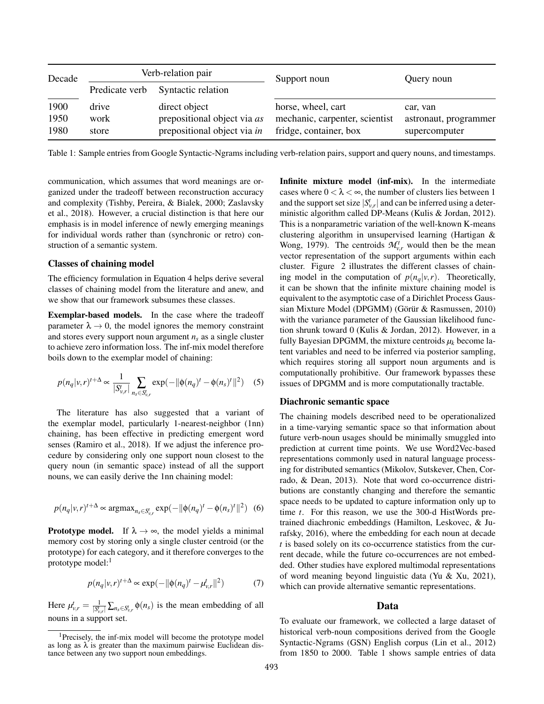| Decade               | Verb-relation pair     |                                                                             | Support noun                                                                   | Query noun                                         |
|----------------------|------------------------|-----------------------------------------------------------------------------|--------------------------------------------------------------------------------|----------------------------------------------------|
|                      | Predicate verb         | Syntactic relation                                                          |                                                                                |                                                    |
| 1900<br>1950<br>1980 | drive<br>work<br>store | direct object<br>prepositional object via as<br>prepositional object via in | horse, wheel, cart<br>mechanic, carpenter, scientist<br>fridge, container, box | car, van<br>astronaut, programmer<br>supercomputer |

Table 1: Sample entries from Google Syntactic-Ngrams including verb-relation pairs, support and query nouns, and timestamps.

communication, which assumes that word meanings are organized under the tradeoff between reconstruction accuracy and complexity (Tishby, Pereira, & Bialek, 2000; Zaslavsky et al., 2018). However, a crucial distinction is that here our emphasis is in model inference of newly emerging meanings for individual words rather than (synchronic or retro) construction of a semantic system.

# Classes of chaining model

The efficiency formulation in Equation 4 helps derive several classes of chaining model from the literature and anew, and we show that our framework subsumes these classes.

Exemplar-based models. In the case where the tradeoff parameter  $\lambda \rightarrow 0$ , the model ignores the memory constraint and stores every support noun argument  $n<sub>s</sub>$  as a single cluster to achieve zero information loss. The inf-mix model therefore boils down to the exemplar model of chaining:

$$
p(n_q|v,r)^{t+\Delta} \propto \frac{1}{|S_{v,r}^t|} \sum_{n_s \in S_{v,r}^t} \exp(-\|\phi(n_q)^t - \phi(n_s)^t\|^2) \quad (5)
$$

The literature has also suggested that a variant of the exemplar model, particularly 1-nearest-neighbor (1nn) chaining, has been effective in predicting emergent word senses (Ramiro et al., 2018). If we adjust the inference procedure by considering only one support noun closest to the query noun (in semantic space) instead of all the support nouns, we can easily derive the 1nn chaining model:

$$
p(n_q|v,r)^{t+\Delta} \propto \arg\max_{n_s \in S_{v,r}^t} \exp(-\|\phi(n_q)^t - \phi(n_s)^t\|^2)
$$
 (6)

**Prototype model.** If  $\lambda \rightarrow \infty$ , the model yields a minimal memory cost by storing only a single cluster centroid (or the prototype) for each category, and it therefore converges to the prototype model: $<sup>1</sup>$ </sup>

$$
p(n_q|v,r)^{t+\Delta} \propto \exp(-\|\phi(n_q)^t - \mu_{v,r}^t\|^2)
$$
 (7)

Here  $\mu_{v,r}^t = \frac{1}{|S_{v,r}^t|} \sum_{n_s \in S_{v,r}^t} \phi(n_s)$  is the mean embedding of all nouns in a support set.

Infinite mixture model (inf-mix). In the intermediate cases where  $0 < \lambda < \infty$ , the number of clusters lies between 1 and the support set size  $|S_{v,r}^t|$  and can be inferred using a deterministic algorithm called DP-Means (Kulis & Jordan, 2012). This is a nonparametric variation of the well-known K-means clustering algorithm in unsupervised learning (Hartigan & Wong, 1979). The centroids  $\mathcal{M}_{v,r}^t$  would then be the mean vector representation of the support arguments within each cluster. Figure 2 illustrates the different classes of chaining model in the computation of  $p(n_q|v, r)$ . Theoretically, it can be shown that the infinite mixture chaining model is equivalent to the asymptotic case of a Dirichlet Process Gaussian Mixture Model (DPGMM) (Görür & Rasmussen, 2010) with the variance parameter of the Gaussian likelihood function shrunk toward 0 (Kulis & Jordan, 2012). However, in a fully Bayesian DPGMM, the mixture centroids  $\mu_k$  become latent variables and need to be inferred via posterior sampling, which requires storing all support noun arguments and is computationally prohibitive. Our framework bypasses these issues of DPGMM and is more computationally tractable.

# Diachronic semantic space

The chaining models described need to be operationalized in a time-varying semantic space so that information about future verb-noun usages should be minimally smuggled into prediction at current time points. We use Word2Vec-based representations commonly used in natural language processing for distributed semantics (Mikolov, Sutskever, Chen, Corrado, & Dean, 2013). Note that word co-occurrence distributions are constantly changing and therefore the semantic space needs to be updated to capture information only up to time *t*. For this reason, we use the 300-d HistWords pretrained diachronic embeddings (Hamilton, Leskovec, & Jurafsky, 2016), where the embedding for each noun at decade *t* is based solely on its co-occurrence statistics from the current decade, while the future co-occurrences are not embedded. Other studies have explored multimodal representations of word meaning beyond linguistic data (Yu & Xu, 2021), which can provide alternative semantic representations.

## Data

To evaluate our framework, we collected a large dataset of historical verb-noun compositions derived from the Google Syntactic-Ngrams (GSN) English corpus (Lin et al., 2012) from 1850 to 2000. Table 1 shows sample entries of data

<sup>&</sup>lt;sup>1</sup>Precisely, the inf-mix model will become the prototype model as long as  $\lambda$  is greater than the maximum pairwise Euclidean distance between any two support noun embeddings.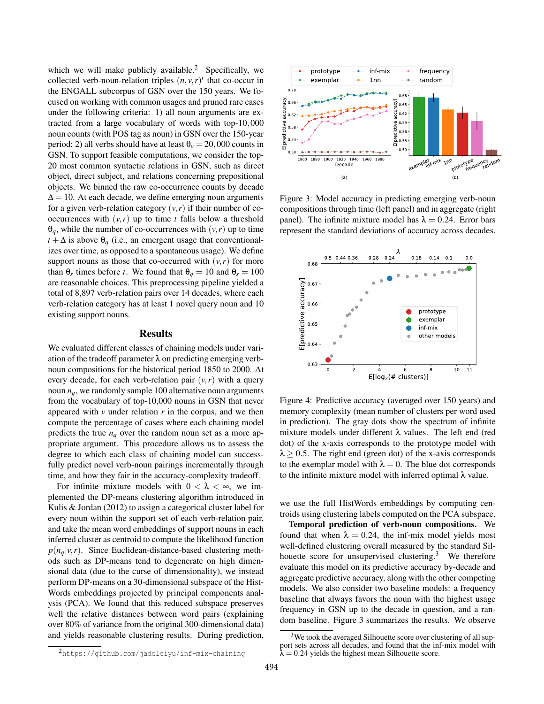which we will make publicly available.<sup>2</sup> Specifically, we collected verb-noun-relation triples  $(n, v, r)$ <sup>t</sup> that co-occur in the ENGALL subcorpus of GSN over the 150 years. We focused on working with common usages and pruned rare cases under the following criteria: 1) all noun arguments are extracted from a large vocabulary of words with top-10*,*000 noun counts (with POS tag as noun) in GSN over the 150-year period; 2) all verbs should have at least  $\theta$ <sup>*v*</sup> = 20,000 counts in GSN. To support feasible computations, we consider the top-20 most common syntactic relations in GSN, such as direct object, direct subject, and relations concerning prepositional objects. We binned the raw co-occurrence counts by decade  $\Delta$  = 10. At each decade, we define emerging noun arguments for a given verb-relation category  $(v, r)$  if their number of cooccurrences with  $(v, r)$  up to time *t* falls below a threshold  $\theta_q$ , while the number of co-occurrences with  $(v, r)$  up to time  $t + \Delta$  is above  $\theta_q$  (i.e., an emergent usage that conventionalizes over time, as opposed to a spontaneous usage). We define support nouns as those that co-occurred with  $(v, r)$  for more than  $\theta_s$  times before *t*. We found that  $\theta_q = 10$  and  $\theta_s = 100$ are reasonable choices. This preprocessing pipeline yielded a total of 8,897 verb-relation pairs over 14 decades, where each verb-relation category has at least 1 novel query noun and 10 existing support nouns.

#### Results

We evaluated different classes of chaining models under variation of the tradeoff parameter  $\lambda$  on predicting emerging verbnoun compositions for the historical period 1850 to 2000. At every decade, for each verb-relation pair  $(v, r)$  with a query noun  $n_q$ , we randomly sample 100 alternative noun arguments from the vocabulary of top-10,000 nouns in GSN that never appeared with *v* under relation *r* in the corpus, and we then compute the percentage of cases where each chaining model predicts the true  $n_q$  over the random noun set as a more appropriate argument. This procedure allows us to assess the degree to which each class of chaining model can successfully predict novel verb-noun pairings incrementally through time, and how they fair in the accuracy-complexity tradeoff.

For infinite mixture models with  $0 < \lambda < \infty$ , we implemented the DP-means clustering algorithm introduced in Kulis & Jordan (2012) to assign a categorical cluster label for every noun within the support set of each verb-relation pair, and take the mean word embeddings of support nouns in each inferred cluster as centroid to compute the likelihood function  $p(n_q|v,r)$ . Since Euclidean-distance-based clustering methods such as DP-means tend to degenerate on high dimensional data (due to the curse of dimensionality), we instead perform DP-means on a 30-dimensional subspace of the Hist-Words embeddings projected by principal components analysis (PCA). We found that this reduced subspace preserves well the relative distances between word pairs (explaining over 80% of variance from the original 300-dimensional data) and yields reasonable clustering results. During prediction,



Figure 3: Model accuracy in predicting emerging verb-noun compositions through time (left panel) and in aggregate (right panel). The infinite mixture model has  $\lambda = 0.24$ . Error bars represent the standard deviations of accuracy across decades.



Figure 4: Predictive accuracy (averaged over 150 years) and memory complexity (mean number of clusters per word used in prediction). The gray dots show the spectrum of infinite mixture models under different  $\lambda$  values. The left end (red dot) of the x-axis corresponds to the prototype model with  $\lambda \geq 0.5$ . The right end (green dot) of the x-axis corresponds to the exemplar model with  $\lambda = 0$ . The blue dot corresponds to the infinite mixture model with inferred optimal  $\lambda$  value.

we use the full HistWords embeddings by computing centroids using clustering labels computed on the PCA subspace.

Temporal prediction of verb-noun compositions. We found that when  $\lambda = 0.24$ , the inf-mix model yields most well-defined clustering overall measured by the standard Silhouette score for unsupervised clustering. $3$  We therefore evaluate this model on its predictive accuracy by-decade and aggregate predictive accuracy, along with the other competing models. We also consider two baseline models: a frequency baseline that always favors the noun with the highest usage frequency in GSN up to the decade in question, and a random baseline. Figure 3 summarizes the results. We observe

<sup>2</sup>https://github.com/jadeleiyu/inf-mix-chaining

<sup>&</sup>lt;sup>3</sup>We took the averaged Silhouette score over clustering of all support sets across all decades, and found that the inf-mix model with  $\lambda = 0.24$  yields the highest mean Silhouette score.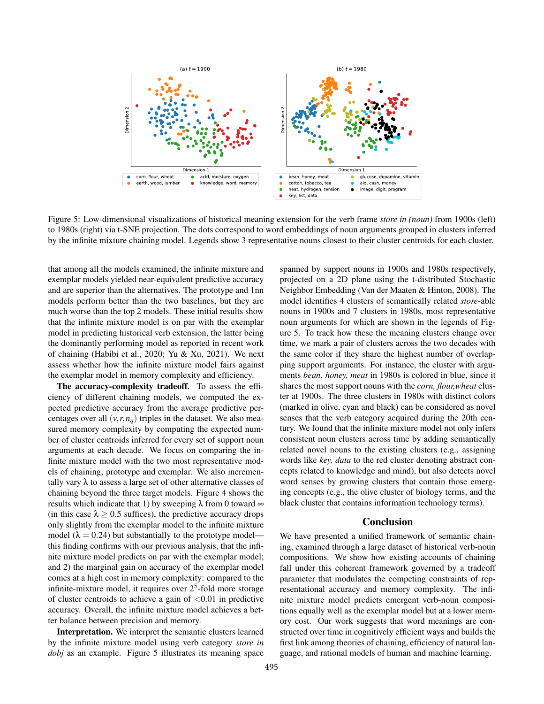

Figure 5: Low-dimensional visualizations of historical meaning extension for the verb frame *store in (noun)* from 1900s (left) to 1980s (right) via t-SNE projection. The dots correspond to word embeddings of noun arguments grouped in clusters inferred by the infinite mixture chaining model. Legends show 3 representative nouns closest to their cluster centroids for each cluster.

that among all the models examined, the infinite mixture and exemplar models yielded near-equivalent predictive accuracy and are superior than the alternatives. The prototype and 1nn models perform better than the two baselines, but they are much worse than the top 2 models. These initial results show that the infinite mixture model is on par with the exemplar model in predicting historical verb extension, the latter being the dominantly performing model as reported in recent work of chaining (Habibi et al., 2020; Yu & Xu, 2021). We next assess whether how the infinite mixture model fairs against the exemplar model in memory complexity and efficiency.

The accuracy-complexity tradeoff. To assess the efficiency of different chaining models, we computed the expected predictive accuracy from the average predictive percentages over all  $(v, r, n_q)$  triples in the dataset. We also measured memory complexity by computing the expected number of cluster centroids inferred for every set of support noun arguments at each decade. We focus on comparing the infinite mixture model with the two most representative models of chaining, prototype and exemplar. We also incrementally vary  $\lambda$  to assess a large set of other alternative classes of chaining beyond the three target models. Figure 4 shows the results which indicate that 1) by sweeping  $\lambda$  from 0 toward  $\infty$ (in this case  $\lambda \geq 0.5$  suffices), the predictive accuracy drops only slightly from the exemplar model to the infinite mixture model ( $\lambda = 0.24$ ) but substantially to the prototype model this finding confirms with our previous analysis, that the infinite mixture model predicts on par with the exemplar model; and 2) the marginal gain on accuracy of the exemplar model comes at a high cost in memory complexity: compared to the infinite-mixture model, it requires over  $2<sup>5</sup>$ -fold more storage of cluster centroids to achieve a gain of *<*0.01 in predictive accuracy. Overall, the infinite mixture model achieves a better balance between precision and memory.

Interpretation. We interpret the semantic clusters learned by the infinite mixture model using verb category *store in dobj* as an example. Figure 5 illustrates its meaning space spanned by support nouns in 1900s and 1980s respectively, projected on a 2D plane using the t-distributed Stochastic Neighbor Embedding (Van der Maaten & Hinton, 2008). The model identifies 4 clusters of semantically related *store*-able nouns in 1900s and 7 clusters in 1980s, most representative noun arguments for which are shown in the legends of Figure 5. To track how these the meaning clusters change over time, we mark a pair of clusters across the two decades with the same color if they share the highest number of overlapping support arguments. For instance, the cluster with arguments *bean, honey, meat* in 1980s is colored in blue, since it shares the most support nouns with the *corn, flour,wheat* cluster at 1900s. The three clusters in 1980s with distinct colors (marked in olive, cyan and black) can be considered as novel senses that the verb category acquired during the 20th century. We found that the infinite mixture model not only infers consistent noun clusters across time by adding semantically related novel nouns to the existing clusters (e.g., assigning words like *key, data* to the red cluster denoting abstract concepts related to knowledge and mind), but also detects novel word senses by growing clusters that contain those emerging concepts (e.g., the olive cluster of biology terms, and the black cluster that contains information technology terms).

#### Conclusion

We have presented a unified framework of semantic chaining, examined through a large dataset of historical verb-noun compositions. We show how existing accounts of chaining fall under this coherent framework governed by a tradeoff parameter that modulates the competing constraints of representational accuracy and memory complexity. The infinite mixture model predicts emergent verb-noun compositions equally well as the exemplar model but at a lower memory cost. Our work suggests that word meanings are constructed over time in cognitively efficient ways and builds the first link among theories of chaining, efficiency of natural language, and rational models of human and machine learning.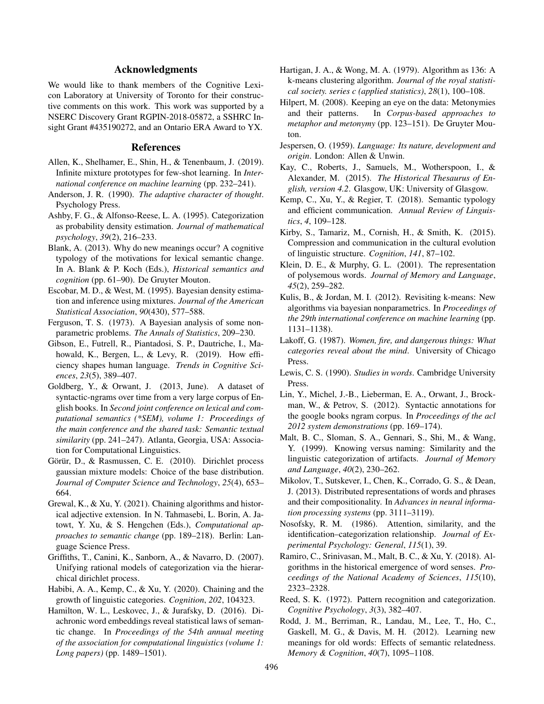# Acknowledgments

We would like to thank members of the Cognitive Lexicon Laboratory at University of Toronto for their constructive comments on this work. This work was supported by a NSERC Discovery Grant RGPIN-2018-05872, a SSHRC Insight Grant #435190272, and an Ontario ERA Award to YX.

### References

- Allen, K., Shelhamer, E., Shin, H., & Tenenbaum, J. (2019). Infinite mixture prototypes for few-shot learning. In *International conference on machine learning* (pp. 232–241).
- Anderson, J. R. (1990). *The adaptive character of thought*. Psychology Press.
- Ashby, F. G., & Alfonso-Reese, L. A. (1995). Categorization as probability density estimation. *Journal of mathematical psychology*, *39*(2), 216–233.
- Blank, A. (2013). Why do new meanings occur? A cognitive typology of the motivations for lexical semantic change. In A. Blank & P. Koch (Eds.), *Historical semantics and cognition* (pp. 61–90). De Gruyter Mouton.
- Escobar, M. D., & West, M. (1995). Bayesian density estimation and inference using mixtures. *Journal of the American Statistical Association*, *90*(430), 577–588.
- Ferguson, T. S. (1973). A Bayesian analysis of some nonparametric problems. *The Annals of Statistics*, 209–230.
- Gibson, E., Futrell, R., Piantadosi, S. P., Dautriche, I., Mahowald, K., Bergen, L., & Levy, R. (2019). How efficiency shapes human language. *Trends in Cognitive Sciences*, *23*(5), 389–407.
- Goldberg, Y., & Orwant, J. (2013, June). A dataset of syntactic-ngrams over time from a very large corpus of English books. In *Second joint conference on lexical and computational semantics (\*SEM), volume 1: Proceedings of the main conference and the shared task: Semantic textual similarity* (pp. 241–247). Atlanta, Georgia, USA: Association for Computational Linguistics.
- Görür, D., & Rasmussen, C. E. (2010). Dirichlet process gaussian mixture models: Choice of the base distribution. *Journal of Computer Science and Technology*, *25*(4), 653– 664.
- Grewal, K., & Xu, Y. (2021). Chaining algorithms and historical adjective extension. In N. Tahmasebi, L. Borin, A. Jatowt, Y. Xu, & S. Hengchen (Eds.), *Computational approaches to semantic change* (pp. 189–218). Berlin: Language Science Press.
- Griffiths, T., Canini, K., Sanborn, A., & Navarro, D. (2007). Unifying rational models of categorization via the hierarchical dirichlet process.
- Habibi, A. A., Kemp, C., & Xu, Y. (2020). Chaining and the growth of linguistic categories. *Cognition*, *202*, 104323.
- Hamilton, W. L., Leskovec, J., & Jurafsky, D. (2016). Diachronic word embeddings reveal statistical laws of semantic change. In *Proceedings of the 54th annual meeting of the association for computational linguistics (volume 1: Long papers)* (pp. 1489–1501).
- Hartigan, J. A., & Wong, M. A. (1979). Algorithm as 136: A k-means clustering algorithm. *Journal of the royal statistical society. series c (applied statistics)*, *28*(1), 100–108.
- Hilpert, M. (2008). Keeping an eye on the data: Metonymies and their patterns. In *Corpus-based approaches to metaphor and metonymy* (pp. 123–151). De Gruyter Mouton.
- Jespersen, O. (1959). *Language: Its nature, development and origin*. London: Allen & Unwin.
- Kay, C., Roberts, J., Samuels, M., Wotherspoon, I., & Alexander, M. (2015). *The Historical Thesaurus of English, version 4.2*. Glasgow, UK: University of Glasgow.
- Kemp, C., Xu, Y., & Regier, T. (2018). Semantic typology and efficient communication. *Annual Review of Linguistics*, *4*, 109–128.
- Kirby, S., Tamariz, M., Cornish, H., & Smith, K. (2015). Compression and communication in the cultural evolution of linguistic structure. *Cognition*, *141*, 87–102.
- Klein, D. E., & Murphy, G. L. (2001). The representation of polysemous words. *Journal of Memory and Language*, *45*(2), 259–282.
- Kulis, B., & Jordan, M. I. (2012). Revisiting k-means: New algorithms via bayesian nonparametrics. In *Proceedings of the 29th international conference on machine learning* (pp. 1131–1138).
- Lakoff, G. (1987). *Women, fire, and dangerous things: What categories reveal about the mind*. University of Chicago Press.
- Lewis, C. S. (1990). *Studies in words*. Cambridge University Press.
- Lin, Y., Michel, J.-B., Lieberman, E. A., Orwant, J., Brockman, W., & Petrov, S. (2012). Syntactic annotations for the google books ngram corpus. In *Proceedings of the acl 2012 system demonstrations* (pp. 169–174).
- Malt, B. C., Sloman, S. A., Gennari, S., Shi, M., & Wang, Y. (1999). Knowing versus naming: Similarity and the linguistic categorization of artifacts. *Journal of Memory and Language*, *40*(2), 230–262.
- Mikolov, T., Sutskever, I., Chen, K., Corrado, G. S., & Dean, J. (2013). Distributed representations of words and phrases and their compositionality. In *Advances in neural information processing systems* (pp. 3111–3119).
- Nosofsky, R. M. (1986). Attention, similarity, and the identification–categorization relationship. *Journal of Experimental Psychology: General*, *115*(1), 39.
- Ramiro, C., Srinivasan, M., Malt, B. C., & Xu, Y. (2018). Algorithms in the historical emergence of word senses. *Proceedings of the National Academy of Sciences*, *115*(10), 2323–2328.
- Reed, S. K. (1972). Pattern recognition and categorization. *Cognitive Psychology*, *3*(3), 382–407.
- Rodd, J. M., Berriman, R., Landau, M., Lee, T., Ho, C., Gaskell, M. G., & Davis, M. H. (2012). Learning new meanings for old words: Effects of semantic relatedness. *Memory & Cognition*, *40*(7), 1095–1108.